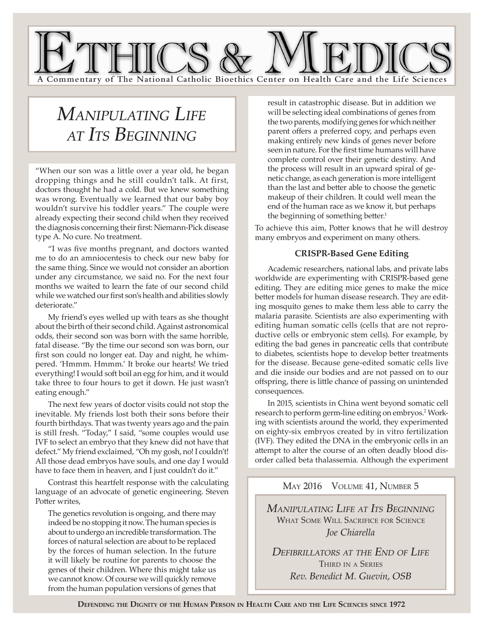

# *Manipulating Life at Its Beginning*

"When our son was a little over a year old, he began dropping things and he still couldn't talk. At first, doctors thought he had a cold. But we knew something was wrong. Eventually we learned that our baby boy wouldn't survive his toddler years." The couple were already expecting their second child when they received the diagnosis concerning their first: Niemann-Pick disease type A. No cure. No treatment.

"I was five months pregnant, and doctors wanted me to do an amniocentesis to check our new baby for the same thing. Since we would not consider an abortion under any circumstance, we said no. For the next four months we waited to learn the fate of our second child while we watched our first son's health and abilities slowly deteriorate."

My friend's eyes welled up with tears as she thought about the birth of their second child. Against astronomical odds, their second son was born with the same horrible, fatal disease. "By the time our second son was born, our first son could no longer eat. Day and night, he whimpered. 'Hmmm. Hmmm.' It broke our hearts! We tried everything! I would soft boil an egg for him, and it would take three to four hours to get it down. He just wasn't eating enough."

The next few years of doctor visits could not stop the inevitable. My friends lost both their sons before their fourth birthdays. That was twenty years ago and the pain is still fresh. "Today," I said, "some couples would use IVF to select an embryo that they knew did not have that defect." My friend exclaimed, "Oh my gosh, no! I couldn't! All those dead embryos have souls, and one day I would have to face them in heaven, and I just couldn't do it*.*"

Contrast this heartfelt response with the calculating language of an advocate of genetic engineering. Steven Potter writes.

The genetics revolution is ongoing, and there may indeed be no stopping it now. The human species is about to undergo an incredible transformation. The forces of natural selection are about to be replaced by the forces of human selection. In the future it will likely be routine for parents to choose the genes of their children. Where this might take us we cannot know. Of course we will quickly remove from the human population versions of genes that

result in catastrophic disease. But in addition we will be selecting ideal combinations of genes from the two parents, modifying genes for which neither parent offers a preferred copy, and perhaps even making entirely new kinds of genes never before seen in nature. For the first time humans will have complete control over their genetic destiny. And the process will result in an upward spiral of genetic change, as each generation is more intelligent than the last and better able to choose the genetic makeup of their children. It could well mean the end of the human race as we know it, but perhaps the beginning of something better.<sup>1</sup>

To achieve this aim, Potter knows that he will destroy many embryos and experiment on many others.

## **CRISPR-Based Gene Editing**

Academic researchers, national labs, and private labs worldwide are experimenting with CRISPR-based gene editing. They are editing mice genes to make the mice better models for human disease research. They are editing mosquito genes to make them less able to carry the malaria parasite. Scientists are also experimenting with editing human somatic cells (cells that are not reproductive cells or embryonic stem cells). For example, by editing the bad genes in pancreatic cells that contribute to diabetes, scientists hope to develop better treatments for the disease. Because gene-edited somatic cells live and die inside our bodies and are not passed on to our offspring, there is little chance of passing on unintended consequences.

In 2015, scientists in China went beyond somatic cell research to perform germ-line editing on embryos.<sup>2</sup> Working with scientists around the world, they experimented on eighty-six embryos created by in vitro fertilization (IVF). They edited the DNA in the embryonic cells in an attempt to alter the course of an often deadly blood disorder called beta thalassemia. Although the experiment

## MAY 2016 VOLUME 41, NUMBER 5

*Manipulating Life at Its Beginning* WHAT SOME WILL SACRIFICE FOR SCIENCE *Joe Chiarella*

*Defibrillators at the End of Life* Third in a Series *Rev. Benedict M. Guevin, OSB*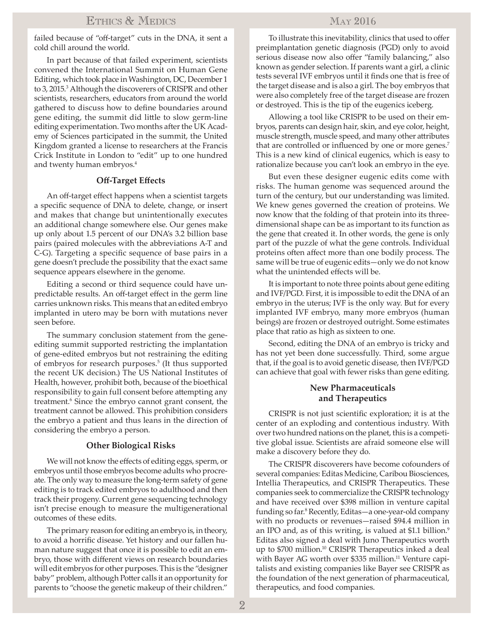## Ethics & Medics

failed because of "off-target" cuts in the DNA, it sent a cold chill around the world.

In part because of that failed experiment, scientists convened the International Summit on Human Gene Editing, which took place in Washington, DC, December 1 to 3, 2015.<sup>3</sup> Although the discoverers of CRISPR and other scientists, researchers, educators from around the world gathered to discuss how to define boundaries around gene editing, the summit did little to slow germ-line editing experimentation. Two months after the UK Academy of Sciences participated in the summit, the United Kingdom granted a license to researchers at the Francis Crick Institute in London to "edit" up to one hundred and twenty human embryos.4

## **Off-Target Effects**

An off-target effect happens when a scientist targets a specific sequence of DNA to delete, change, or insert and makes that change but unintentionally executes an additional change somewhere else. Our genes make up only about 1.5 percent of our DNA's 3.2 billion base pairs (paired molecules with the abbreviations A-T and C-G). Targeting a specific sequence of base pairs in a gene doesn't preclude the possibility that the exact same sequence appears elsewhere in the genome.

Editing a second or third sequence could have unpredictable results. An off-target effect in the germ line carries unknown risks. This means that an edited embryo implanted in utero may be born with mutations never seen before.

The summary conclusion statement from the geneediting summit supported restricting the implantation of gene-edited embryos but not restraining the editing of embryos for research purposes.<sup>5</sup> (It thus supported the recent UK decision.) The US National Institutes of Health, however, prohibit both, because of the bioethical responsibility to gain full consent before attempting any treatment.<sup>6</sup> Since the embryo cannot grant consent, the treatment cannot be allowed. This prohibition considers the embryo a patient and thus leans in the direction of considering the embryo a person.

#### **Other Biological Risks**

We will not know the effects of editing eggs, sperm, or embryos until those embryos become adults who procreate. The only way to measure the long-term safety of gene editing is to track edited embryos to adulthood and then track their progeny. Current gene sequencing technology isn't precise enough to measure the multigenerational outcomes of these edits.

The primary reason for editing an embryo is, in theory, to avoid a horrific disease. Yet history and our fallen human nature suggest that once it is possible to edit an embryo, those with different views on research boundaries will edit embryos for other purposes. This is the "designer baby" problem, although Potter calls it an opportunity for parents to "choose the genetic makeup of their children."

## May 2016

To illustrate this inevitability, clinics that used to offer preimplantation genetic diagnosis (PGD) only to avoid serious disease now also offer "family balancing," also known as gender selection. If parents want a girl, a clinic tests several IVF embryos until it finds one that is free of the target disease and is also a girl. The boy embryos that were also completely free of the target disease are frozen or destroyed. This is the tip of the eugenics iceberg.

Allowing a tool like CRISPR to be used on their embryos, parents can design hair, skin, and eye color, height, muscle strength, muscle speed, and many other attributes that are controlled or influenced by one or more genes.<sup>7</sup> This is a new kind of clinical eugenics, which is easy to rationalize because you can't look an embryo in the eye.

But even these designer eugenic edits come with risks. The human genome was sequenced around the turn of the century, but our understanding was limited. We knew genes governed the creation of proteins. We now know that the folding of that protein into its threedimensional shape can be as important to its function as the gene that created it. In other words, the gene is only part of the puzzle of what the gene controls. Individual proteins often affect more than one bodily process. The same will be true of eugenic edits—only we do not know what the unintended effects will be.

It is important to note three points about gene editing and IVF/PGD. First, it is impossible to edit the DNA of an embryo in the uterus; IVF is the only way. But for every implanted IVF embryo, many more embryos (human beings) are frozen or destroyed outright. Some estimates place that ratio as high as sixteen to one.

Second, editing the DNA of an embryo is tricky and has not yet been done successfully. Third, some argue that, if the goal is to avoid genetic disease, then IVF/PGD can achieve that goal with fewer risks than gene editing.

## **New Pharmaceuticals and Therapeutics**

CRISPR is not just scientific exploration; it is at the center of an exploding and contentious industry. With over two hundred nations on the planet, this is a competitive global issue. Scientists are afraid someone else will make a discovery before they do.

The CRISPR discoverers have become cofounders of several companies: Editas Medicine, Caribou Biosciences, Intellia Therapeutics, and CRISPR Therapeutics. These companies seek to commercialize the CRISPR technology and have received over \$398 million in venture capital funding so far.8 Recently, Editas—a one-year-old company with no products or revenues—raised \$94.4 million in an IPO and, as of this writing, is valued at \$1.1 billion.<sup>9</sup> Editas also signed a deal with Juno Therapeutics worth up to \$700 million.<sup>10</sup> CRISPR Therapeutics inked a deal with Bayer AG worth over  $$335$  million.<sup>11</sup> Venture capitalists and existing companies like Bayer see CRISPR as the foundation of the next generation of pharmaceutical, therapeutics, and food companies.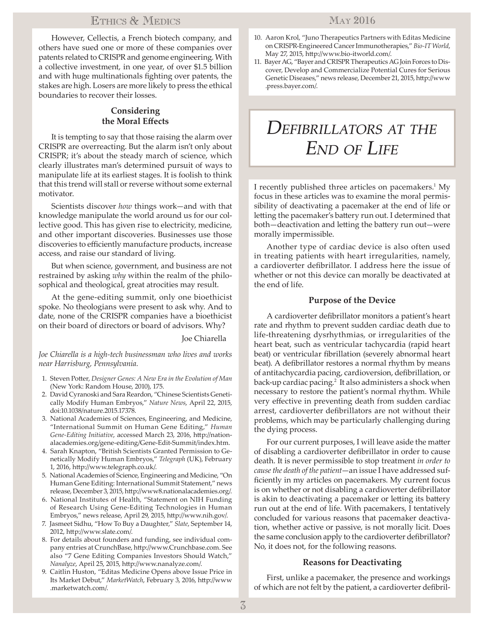## Ethics & Medics

However, Cellectis, a French biotech company, and others have sued one or more of these companies over patents related to CRISPR and genome engineering. With a collective investment, in one year, of over \$1.5 billion and with huge multinationals fighting over patents, the stakes are high. Losers are more likely to press the ethical boundaries to recover their losses.

## **Considering the Moral Effects**

It is tempting to say that those raising the alarm over CRISPR are overreacting. But the alarm isn't only about CRISPR; it's about the steady march of science, which clearly illustrates man's determined pursuit of ways to manipulate life at its earliest stages. It is foolish to think that this trend will stall or reverse without some external motivator.

Scientists discover *how* things work—and with that knowledge manipulate the world around us for our collective good. This has given rise to electricity, medicine, and other important discoveries. Businesses use those discoveries to efficiently manufacture products, increase access, and raise our standard of living.

But when science, government, and business are not restrained by asking *why* within the realm of the philosophical and theological, great atrocities may result.

At the gene-editing summit, only one bioethicist spoke. No theologians were present to ask why. And to date, none of the CRISPR companies have a bioethicist on their board of directors or board of advisors. Why?

Joe Chiarella

*Joe Chiarella is a high-tech businessman who lives and works near Harrisburg, Pennsylvania.*

- 1. Steven Potter, *Designer Genes: A New Era in the Evolution of Man* (New York: Random House, 2010), 175.
- 2. David Cyranoski and Sara Reardon, "Chinese Scientists Genetically Modify Human Embryos," *Nature News*, April 22, 2015, doi:10.1038/nature.2015.17378.
- 3. National Academies of Sciences, Engineering, and Medicine, "International Summit on Human Gene Editing," *Human Gene-Editing Initiative*, accessed March 23, 2016, http://nationalacademies.org/gene-editing/Gene-Edit-Summit/index.htm.
- 4. Sarah Knapton, "British Scientists Granted Permission to Genetically Modify Human Embryos," *Telegraph* (UK), February 1, 2016, http://www.telegraph.co.uk/.
- 5. National Academies of Science, Engineering and Medicine, "On Human Gene Editing: International Summit Statement," news release, December 3, 2015, http://www8.nationalacademies.org/.
- 6. National Institutes of Health, "Statement on NIH Funding of Research Using Gene-Editing Technologies in Human Embryos," news release, April 29, 2015, http://www.nih.gov/.
- 7. Jasmeet Sidhu, "How To Buy a Daughter," *Slate*, September 14, 2012, http://www.slate.com/.
- 8. For details about founders and funding, see individual company entries at CrunchBase, http://www.Crunchbase.com. See also "7 Gene Editing Companies Investors Should Watch," *Nanalyze*, April 25, 2015, http://www.nanalyze.com/.
- 9. Caitlin Huston, "Editas Medicine Opens above Issue Price in Its Market Debut," *MarketWatch*, February 3, 2016, http://www .marketwatch.com/.
- 10. Aaron Krol, "Juno Therapeutics Partners with Editas Medicine on CRISPR-Engineered Cancer Immunotherapies," *Bio-IT World*, May 27, 2015, http://www.bio-itworld.com/.
- 11. Bayer AG, "Bayer and CRISPR Therapeutics AG Join Forces to Discover, Develop and Commercialize Potential Cures for Serious Genetic Diseases," news release, December 21, 2015, http://www .press.bayer.com/.

## *Defibrillators at the End of Life*

I recently published three articles on pacemakers.<sup>1</sup> My focus in these articles was to examine the moral permissibility of deactivating a pacemaker at the end of life or letting the pacemaker's battery run out. I determined that both—deactivation and letting the battery run out—were morally impermissible.

Another type of cardiac device is also often used in treating patients with heart irregularities, namely, a cardioverter defibrillator. I address here the issue of whether or not this device can morally be deactivated at the end of life.

## **Purpose of the Device**

A cardioverter defibrillator monitors a patient's heart rate and rhythm to prevent sudden cardiac death due to life-threatening dysrhythmias, or irregularities of the heart beat, such as ventricular tachycardia (rapid heart beat) or ventricular fibrillation (severely abnormal heart beat). A defibrillator restores a normal rhythm by means of antitachycardia pacing, cardioversion, defibrillation, or back-up cardiac pacing.<sup>2</sup> It also administers a shock when necessary to restore the patient's normal rhythm. While very effective in preventing death from sudden cardiac arrest, cardioverter defibrillators are not without their problems, which may be particularly challenging during the dying process.

For our current purposes, I will leave aside the matter of disabling a cardioverter defibrillator in order to cause death. It is never permissible to stop treatment *in order to cause the death of the patient*—an issue I have addressed sufficiently in my articles on pacemakers. My current focus is on whether or not disabling a cardioverter defibrillator is akin to deactivating a pacemaker or letting its battery run out at the end of life. With pacemakers, I tentatively concluded for various reasons that pacemaker deactivation, whether active or passive, is not morally licit. Does the same conclusion apply to the cardioverter defibrillator? No, it does not, for the following reasons.

### **Reasons for Deactivating**

First, unlike a pacemaker, the presence and workings of which are not felt by the patient, a cardioverter defibril-